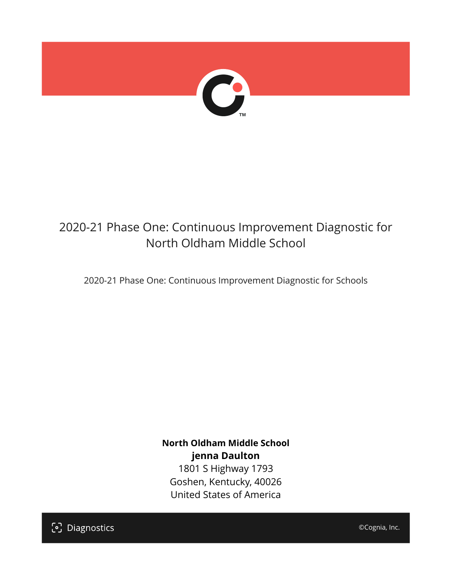

# 2020-21 Phase One: Continuous Improvement Diagnostic for North Oldham Middle School

2020-21 Phase One: Continuous Improvement Diagnostic for Schools

**North Oldham Middle School jenna Daulton** 1801 S Highway 1793 Goshen, Kentucky, 40026 United States of America

[၁] Diagnostics

©Cognia, Inc.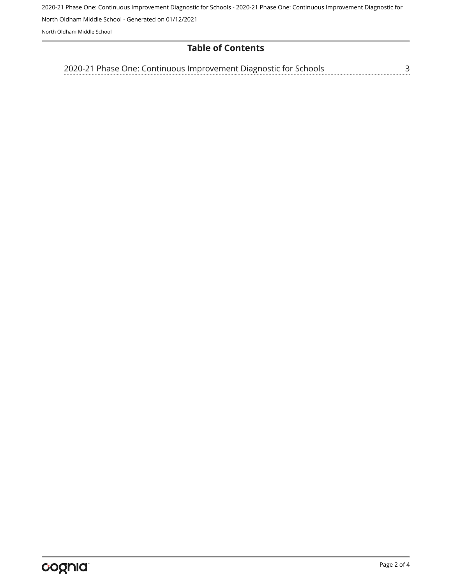2020-21 Phase One: Continuous Improvement Diagnostic for Schools - 2020-21 Phase One: Continuous Improvement Diagnostic for North Oldham Middle School - Generated on 01/12/2021

North Oldham Middle School

#### **Table of Contents**

<u>[3](#page-2-0)</u> [2020-21 Phase One: Continuous Improvement Diagnostic for Schools](#page-2-0)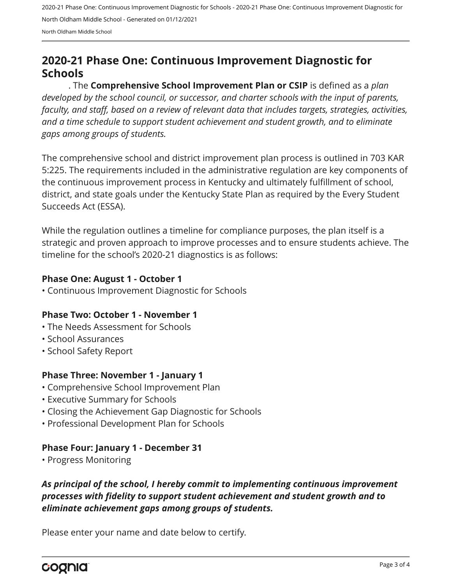2020-21 Phase One: Continuous Improvement Diagnostic for Schools - 2020-21 Phase One: Continuous Improvement Diagnostic for North Oldham Middle School - Generated on 01/12/2021 North Oldham Middle School

## <span id="page-2-0"></span>**2020-21 Phase One: Continuous Improvement Diagnostic for Schools**

. The **Comprehensive School Improvement Plan or CSIP** is defined as a *plan developed by the school council, or successor, and charter schools with the input of parents, faculty, and staff, based on a review of relevant data that includes targets, strategies, activities, and a time schedule to support student achievement and student growth, and to eliminate gaps among groups of students.*

The comprehensive school and district improvement plan process is outlined in 703 KAR 5:225. The requirements included in the administrative regulation are key components of the continuous improvement process in Kentucky and ultimately fulfillment of school, district, and state goals under the Kentucky State Plan as required by the Every Student Succeeds Act (ESSA).

While the regulation outlines a timeline for compliance purposes, the plan itself is a strategic and proven approach to improve processes and to ensure students achieve. The timeline for the school's 2020-21 diagnostics is as follows:

#### **Phase One: August 1 - October 1**

• Continuous Improvement Diagnostic for Schools

#### **Phase Two: October 1 - November 1**

- The Needs Assessment for Schools
- School Assurances
- School Safety Report

#### **Phase Three: November 1 - January 1**

- Comprehensive School Improvement Plan
- Executive Summary for Schools
- Closing the Achievement Gap Diagnostic for Schools
- Professional Development Plan for Schools

#### **Phase Four: January 1 - December 31**

• Progress Monitoring

### *As principal of the school, I hereby commit to implementing continuous improvement processes with fidelity to support student achievement and student growth and to eliminate achievement gaps among groups of students.*

Please enter your name and date below to certify.